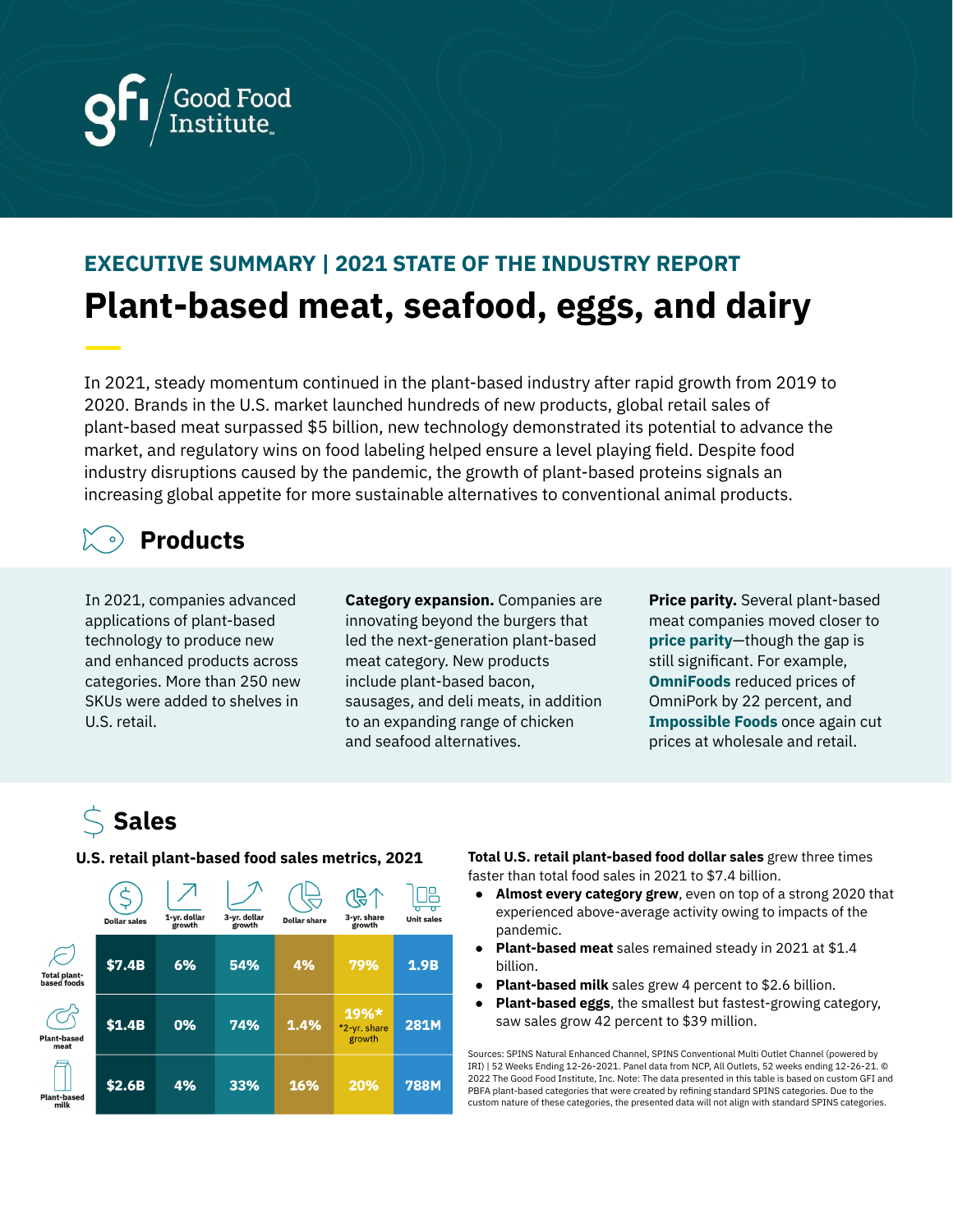

# **EXECUTIVE SUMMARY | 2021 STATE OF THE INDUSTRY REPORT Plant-based meat, seafood, eggs, and dairy** —

In 2021, steady momentum continued in the plant-based industry after rapid growth from 2019 to 2020. Brands in the U.S. market launched hundreds of new products, global retail sales of plant-based meat surpassed \$5 billion, new technology demonstrated its potential to advance the market, and regulatory wins on food labeling helped ensure a level playing field. Despite food industry disruptions caused by the pandemic, the growth of plant-based proteins signals an increasing global appetite for more sustainable alternatives to conventional animal products.

### **Products**

In 2021, companies advanced applications of plant-based technology to produce new and enhanced products across categories. More than 250 new SKUs were added to shelves in U.S. retail.

**Category expansion.** Companies are innovating beyond the burgers that led the next-generation plant-based meat category. New products include plant-based bacon, sausages, and deli meats, in addition to an expanding range of chicken and seafood alternatives.

**Price parity.** Several plant-based meat companies moved closer to **price [parity](https://gfi.org/reducing-the-price-of-alternative-proteins/)**—though the gap is still significant. For example, **[OmniFoods](https://vegconomist.com/companies-and-portraits/omnipork-drops-prices-by-22-to-achieve-price-parity-with-pork-expands-into-20-global-markets/)** reduced prices of OmniPork by 22 percent, and **[Impossible](https://www.cnbc.com/2021/02/02/impossible-foods-lowers-grocery-store-prices-by-20percent.htmlhttps://www.cnbc.com/2021/02/02/impossible-foods-lowers-grocery-store-prices-by-20percent.htmlhttps://www.cnbc.com/2021/02/02/impossible-foods-lowers-grocery-store-prices-by-20percent.html) Foods** once again cut prices at wholesale and retail.

# **Sales**



**U.S. retail plant-based food sales metrics, 2021 Total U.S. retail plant-based food dollar sales** grew three times faster than total food sales in 2021 to \$7.4 billion.

- **Almost every category grew**, even on top of a strong 2020 that experienced above-average activity owing to impacts of the pandemic.
- **Plant-based meat** sales remained steady in 2021 at \$1.4 billion.
- **Plant-based milk** sales grew 4 percent to \$2.6 billion.
- **Plant-based eggs**, the smallest but fastest-growing category, saw sales grow 42 percent to \$39 million.

Sources: SPINS Natural Enhanced Channel, SPINS Conventional Multi Outlet Channel (powered by IRI) | 52 Weeks Ending 12-26-2021. Panel data from NCP, All Outlets, 52 weeks ending 12-26-21. © 2022 The Good Food Institute, Inc. Note: The data presented in this table is based on custom GFI and PBFA plant-based categories that were created by refining standard SPINS categories. Due to the custom nature of these categories, the presented data will not align with standard SPINS categories.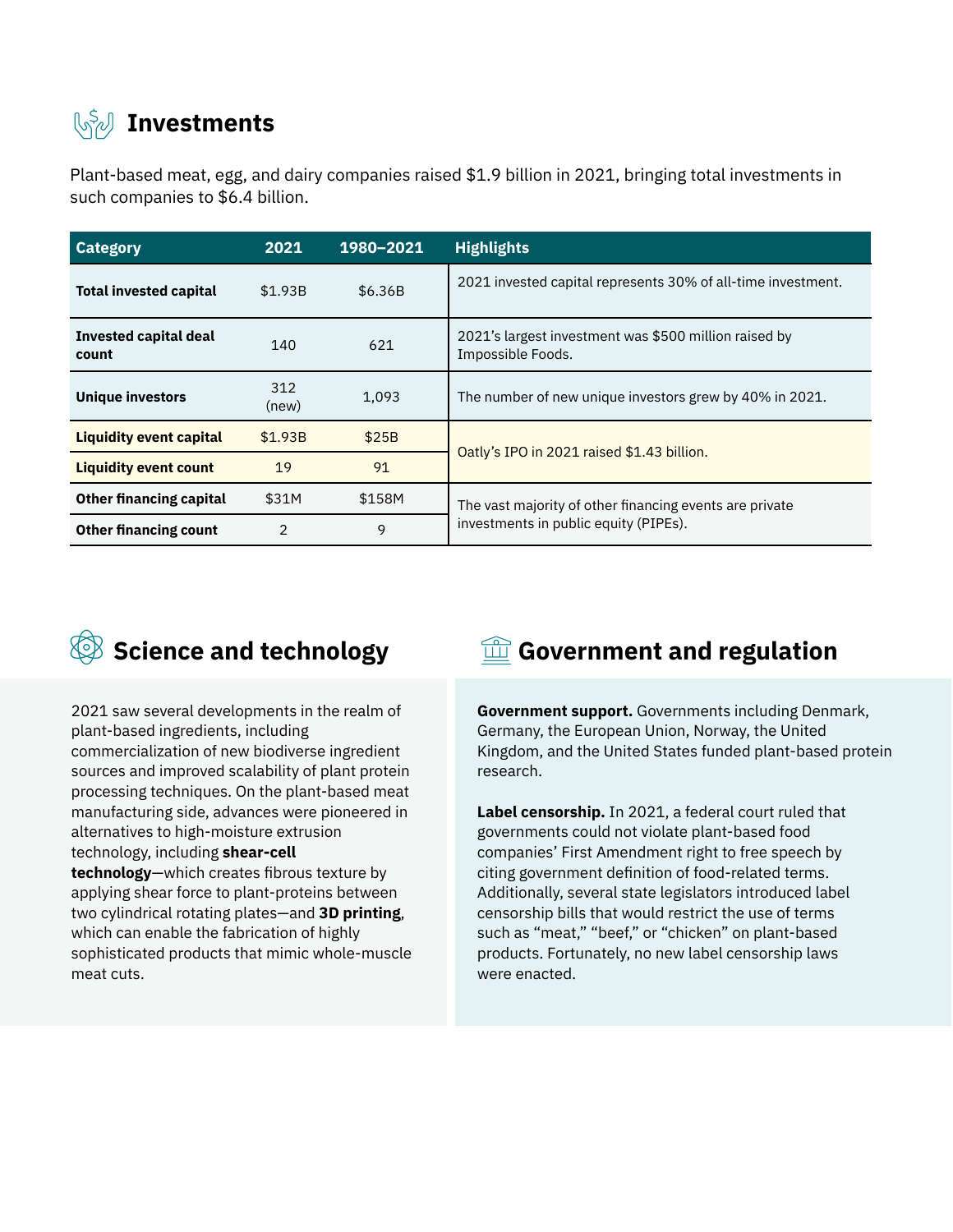## **Investments**

Plant-based meat, egg, and dairy companies raised \$1.9 billion in 2021, bringing total investments in such companies to \$6.4 billion.

| <b>Category</b>                       | 2021           | 1980-2021 | <b>Highlights</b>                                                                                |
|---------------------------------------|----------------|-----------|--------------------------------------------------------------------------------------------------|
| <b>Total invested capital</b>         | \$1.93B        | \$6.36B   | 2021 invested capital represents 30% of all-time investment.                                     |
| <b>Invested capital deal</b><br>count | 140            | 621       | 2021's largest investment was \$500 million raised by<br>Impossible Foods.                       |
| <b>Unique investors</b>               | 312<br>(new)   | 1,093     | The number of new unique investors grew by 40% in 2021.                                          |
| <b>Liquidity event capital</b>        | \$1.93B        | \$25B     | Oatly's IPO in 2021 raised \$1.43 billion.                                                       |
| <b>Liquidity event count</b>          | 19             | 91        |                                                                                                  |
| <b>Other financing capital</b>        | \$31M          | \$158M    | The vast majority of other financing events are private<br>investments in public equity (PIPEs). |
| <b>Other financing count</b>          | $\mathfrak{p}$ | 9         |                                                                                                  |



2021 saw several developments in the realm of plant-based ingredients, including commercialization of new biodiverse ingredient sources and improved scalability of plant protein processing techniques. On the plant-based meat manufacturing side, advances were pioneered in alternatives to high-moisture extrusion technology, including **shear-cell technology**—which creates fibrous texture by applying shear force to plant-proteins between two cylindrical rotating plates—and **3D printing**, which can enable the fabrication of highly sophisticated products that mimic whole-muscle meat cuts.

### $\circled{S}$  Science and technology  $\circled{m}$  Government and regulation

**Government support.** Governments including Denmark, Germany, the European Union, Norway, the United Kingdom, and the United States funded plant-based protein research.

**Label censorship.** In 2021, a federal court ruled that governments could not violate plant-based food companies' First Amendment right to free speech by citing government definition of food-related terms. Additionally, several state legislators introduced label censorship bills that would restrict the use of terms such as "meat," "beef," or "chicken" on plant-based products. Fortunately, no new label censorship laws were enacted.